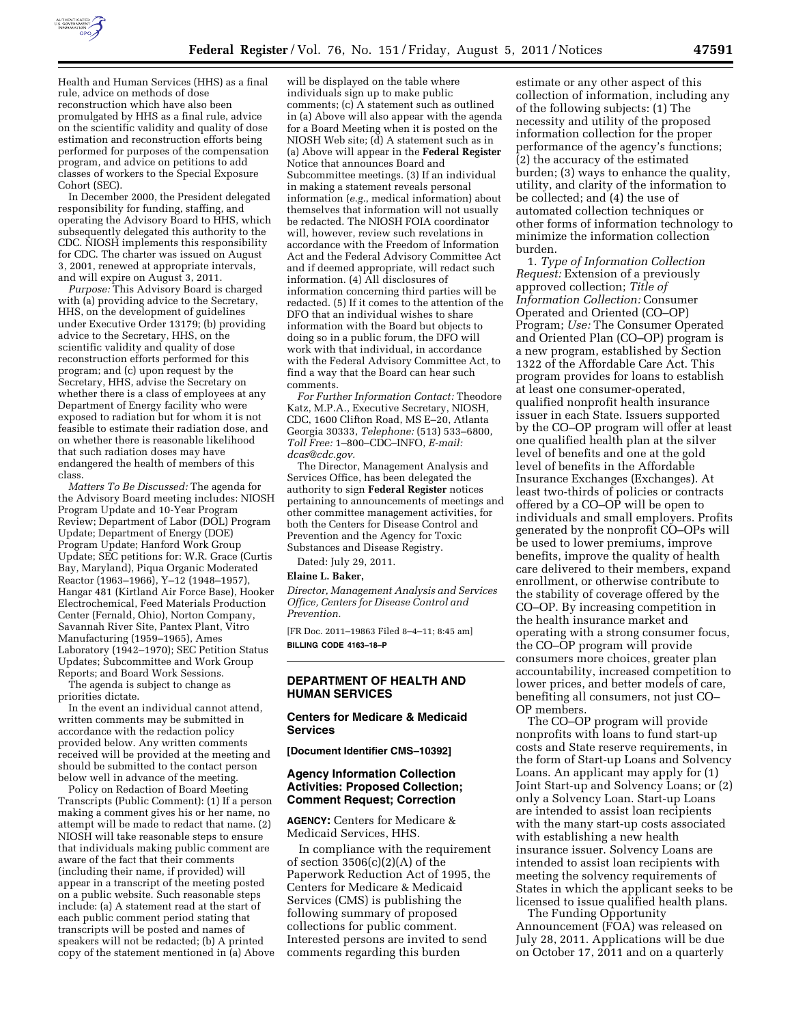

Health and Human Services (HHS) as a final rule, advice on methods of dose reconstruction which have also been promulgated by HHS as a final rule, advice on the scientific validity and quality of dose estimation and reconstruction efforts being performed for purposes of the compensation program, and advice on petitions to add classes of workers to the Special Exposure Cohort (SEC).

In December 2000, the President delegated responsibility for funding, staffing, and operating the Advisory Board to HHS, which subsequently delegated this authority to the CDC. NIOSH implements this responsibility for CDC. The charter was issued on August 3, 2001, renewed at appropriate intervals, and will expire on August 3, 2011.

*Purpose:* This Advisory Board is charged with (a) providing advice to the Secretary, HHS, on the development of guidelines under Executive Order 13179; (b) providing advice to the Secretary, HHS, on the scientific validity and quality of dose reconstruction efforts performed for this program; and (c) upon request by the Secretary, HHS, advise the Secretary on whether there is a class of employees at any Department of Energy facility who were exposed to radiation but for whom it is not feasible to estimate their radiation dose, and on whether there is reasonable likelihood that such radiation doses may have endangered the health of members of this class.

*Matters To Be Discussed:* The agenda for the Advisory Board meeting includes: NIOSH Program Update and 10-Year Program Review; Department of Labor (DOL) Program Update; Department of Energy (DOE) Program Update; Hanford Work Group Update; SEC petitions for: W.R. Grace (Curtis Bay, Maryland), Piqua Organic Moderated Reactor (1963–1966), Y–12 (1948–1957), Hangar 481 (Kirtland Air Force Base), Hooker Electrochemical, Feed Materials Production Center (Fernald, Ohio), Norton Company, Savannah River Site, Pantex Plant, Vitro Manufacturing (1959–1965), Ames Laboratory (1942–1970); SEC Petition Status Updates; Subcommittee and Work Group Reports; and Board Work Sessions.

The agenda is subject to change as priorities dictate.

In the event an individual cannot attend, written comments may be submitted in accordance with the redaction policy provided below. Any written comments received will be provided at the meeting and should be submitted to the contact person below well in advance of the meeting.

Policy on Redaction of Board Meeting Transcripts (Public Comment): (1) If a person making a comment gives his or her name, no attempt will be made to redact that name. (2) NIOSH will take reasonable steps to ensure that individuals making public comment are aware of the fact that their comments (including their name, if provided) will appear in a transcript of the meeting posted on a public website. Such reasonable steps include: (a) A statement read at the start of each public comment period stating that transcripts will be posted and names of speakers will not be redacted; (b) A printed copy of the statement mentioned in (a) Above

will be displayed on the table where individuals sign up to make public comments; (c) A statement such as outlined in (a) Above will also appear with the agenda for a Board Meeting when it is posted on the NIOSH Web site; (d) A statement such as in (a) Above will appear in the **Federal Register**  Notice that announces Board and Subcommittee meetings. (3) If an individual in making a statement reveals personal information (*e.g.*, medical information) about themselves that information will not usually be redacted. The NIOSH FOIA coordinator will, however, review such revelations in accordance with the Freedom of Information Act and the Federal Advisory Committee Act and if deemed appropriate, will redact such information. (4) All disclosures of information concerning third parties will be redacted. (5) If it comes to the attention of the DFO that an individual wishes to share information with the Board but objects to doing so in a public forum, the DFO will work with that individual, in accordance with the Federal Advisory Committee Act, to find a way that the Board can hear such comments.

*For Further Information Contact:* Theodore Katz, M.P.A., Executive Secretary, NIOSH, CDC, 1600 Clifton Road, MS E–20, Atlanta Georgia 30333, *Telephone:* (513) 533–6800, *Toll Free:* 1–800–CDC–INFO, *E-mail: [dcas@cdc.gov.](mailto:dcas@cdc.gov)* 

The Director, Management Analysis and Services Office, has been delegated the authority to sign **Federal Register** notices pertaining to announcements of meetings and other committee management activities, for both the Centers for Disease Control and Prevention and the Agency for Toxic Substances and Disease Registry.

Dated: July 29, 2011.

#### **Elaine L. Baker,**

*Director, Management Analysis and Services Office, Centers for Disease Control and Prevention.* 

[FR Doc. 2011–19863 Filed 8–4–11; 8:45 am] **BILLING CODE 4163–18–P** 

#### **DEPARTMENT OF HEALTH AND HUMAN SERVICES**

#### **Centers for Medicare & Medicaid Services**

**[Document Identifier CMS–10392]** 

#### **Agency Information Collection Activities: Proposed Collection; Comment Request; Correction**

**AGENCY:** Centers for Medicare & Medicaid Services, HHS.

In compliance with the requirement of section  $3506(c)(2)(A)$  of the Paperwork Reduction Act of 1995, the Centers for Medicare & Medicaid Services (CMS) is publishing the following summary of proposed collections for public comment. Interested persons are invited to send comments regarding this burden

estimate or any other aspect of this collection of information, including any of the following subjects: (1) The necessity and utility of the proposed information collection for the proper performance of the agency's functions; (2) the accuracy of the estimated burden; (3) ways to enhance the quality, utility, and clarity of the information to be collected; and (4) the use of automated collection techniques or other forms of information technology to minimize the information collection burden.

1. *Type of Information Collection Request:* Extension of a previously approved collection; *Title of Information Collection:* Consumer Operated and Oriented (CO–OP) Program; *Use:* The Consumer Operated and Oriented Plan (CO–OP) program is a new program, established by Section 1322 of the Affordable Care Act. This program provides for loans to establish at least one consumer-operated, qualified nonprofit health insurance issuer in each State. Issuers supported by the CO–OP program will offer at least one qualified health plan at the silver level of benefits and one at the gold level of benefits in the Affordable Insurance Exchanges (Exchanges). At least two-thirds of policies or contracts offered by a CO–OP will be open to individuals and small employers. Profits generated by the nonprofit CO–OPs will be used to lower premiums, improve benefits, improve the quality of health care delivered to their members, expand enrollment, or otherwise contribute to the stability of coverage offered by the CO–OP. By increasing competition in the health insurance market and operating with a strong consumer focus, the CO–OP program will provide consumers more choices, greater plan accountability, increased competition to lower prices, and better models of care, benefiting all consumers, not just CO– OP members.

The CO–OP program will provide nonprofits with loans to fund start-up costs and State reserve requirements, in the form of Start-up Loans and Solvency Loans. An applicant may apply for (1) Joint Start-up and Solvency Loans; or (2) only a Solvency Loan. Start-up Loans are intended to assist loan recipients with the many start-up costs associated with establishing a new health insurance issuer. Solvency Loans are intended to assist loan recipients with meeting the solvency requirements of States in which the applicant seeks to be licensed to issue qualified health plans.

The Funding Opportunity Announcement (FOA) was released on July 28, 2011. Applications will be due on October 17, 2011 and on a quarterly